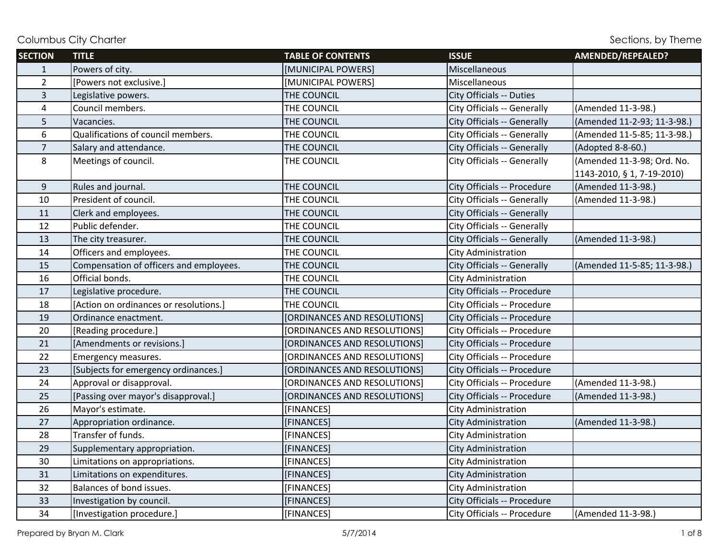| <b>SECTION</b> | <b>TITLE</b>                            | <b>TABLE OF CONTENTS</b>     | <b>ISSUE</b>                | AMENDED/REPEALED?           |
|----------------|-----------------------------------------|------------------------------|-----------------------------|-----------------------------|
| $\mathbf{1}$   | Powers of city.                         | [MUNICIPAL POWERS]           | Miscellaneous               |                             |
| $\overline{2}$ | [Powers not exclusive.]                 | [MUNICIPAL POWERS]           | Miscellaneous               |                             |
| $\overline{3}$ | Legislative powers.                     | THE COUNCIL                  | City Officials -- Duties    |                             |
| 4              | Council members.                        | THE COUNCIL                  | City Officials -- Generally | (Amended 11-3-98.)          |
| 5              | Vacancies.                              | THE COUNCIL                  | City Officials -- Generally | (Amended 11-2-93; 11-3-98.) |
| 6              | Qualifications of council members.      | THE COUNCIL                  | City Officials -- Generally | (Amended 11-5-85; 11-3-98.) |
| $\overline{7}$ | Salary and attendance.                  | THE COUNCIL                  | City Officials -- Generally | (Adopted 8-8-60.)           |
| 8              | Meetings of council.                    | THE COUNCIL                  | City Officials -- Generally | (Amended 11-3-98; Ord. No.  |
|                |                                         |                              |                             | 1143-2010, § 1, 7-19-2010)  |
| 9              | Rules and journal.                      | THE COUNCIL                  | City Officials -- Procedure | (Amended 11-3-98.)          |
| 10             | President of council.                   | THE COUNCIL                  | City Officials -- Generally | (Amended 11-3-98.)          |
| 11             | Clerk and employees.                    | THE COUNCIL                  | City Officials -- Generally |                             |
| 12             | Public defender.                        | THE COUNCIL                  | City Officials -- Generally |                             |
| 13             | The city treasurer.                     | THE COUNCIL                  | City Officials -- Generally | (Amended 11-3-98.)          |
| 14             | Officers and employees.                 | THE COUNCIL                  | <b>City Administration</b>  |                             |
| 15             | Compensation of officers and employees. | THE COUNCIL                  | City Officials -- Generally | (Amended 11-5-85; 11-3-98.) |
| 16             | Official bonds.                         | THE COUNCIL                  | <b>City Administration</b>  |                             |
| 17             | Legislative procedure.                  | THE COUNCIL                  | City Officials -- Procedure |                             |
| 18             | [Action on ordinances or resolutions.]  | THE COUNCIL                  | City Officials -- Procedure |                             |
| 19             | Ordinance enactment.                    | [ORDINANCES AND RESOLUTIONS] | City Officials -- Procedure |                             |
| 20             | [Reading procedure.]                    | [ORDINANCES AND RESOLUTIONS] | City Officials -- Procedure |                             |
| 21             | [Amendments or revisions.]              | [ORDINANCES AND RESOLUTIONS] | City Officials -- Procedure |                             |
| 22             | Emergency measures.                     | [ORDINANCES AND RESOLUTIONS] | City Officials -- Procedure |                             |
| 23             | [Subjects for emergency ordinances.]    | [ORDINANCES AND RESOLUTIONS] | City Officials -- Procedure |                             |
| 24             | Approval or disapproval.                | [ORDINANCES AND RESOLUTIONS] | City Officials -- Procedure | (Amended 11-3-98.)          |
| 25             | [Passing over mayor's disapproval.]     | [ORDINANCES AND RESOLUTIONS] | City Officials -- Procedure | (Amended 11-3-98.)          |
| 26             | Mayor's estimate.                       | [FINANCES]                   | City Administration         |                             |
| 27             | Appropriation ordinance.                | [FINANCES]                   | <b>City Administration</b>  | (Amended 11-3-98.)          |
| 28             | Transfer of funds.                      | [FINANCES]                   | <b>City Administration</b>  |                             |
| 29             | Supplementary appropriation.            | [FINANCES]                   | <b>City Administration</b>  |                             |
| 30             | Limitations on appropriations.          | [FINANCES]                   | <b>City Administration</b>  |                             |
| 31             | Limitations on expenditures.            | [FINANCES]                   | <b>City Administration</b>  |                             |
| 32             | Balances of bond issues.                | [FINANCES]                   | City Administration         |                             |
| 33             | Investigation by council.               | [FINANCES]                   | City Officials -- Procedure |                             |
| 34             | [Investigation procedure.]              | [FINANCES]                   | City Officials -- Procedure | (Amended 11-3-98.)          |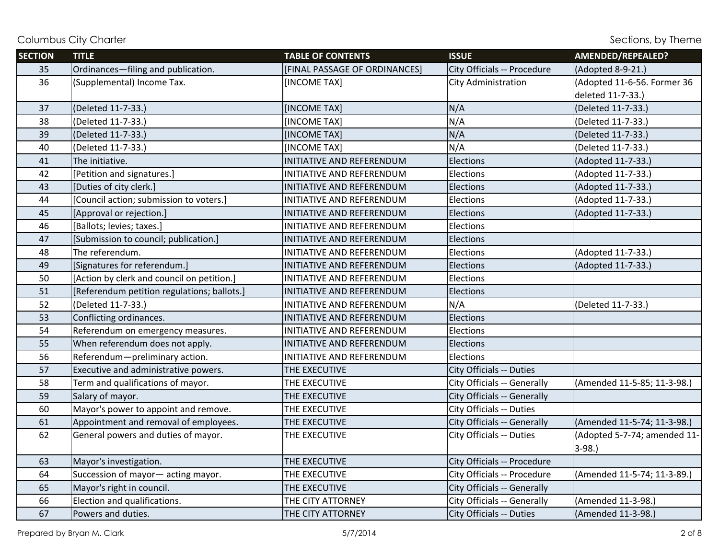| <b>SECTION</b> | <b>TITLE</b>                                | <b>TABLE OF CONTENTS</b>      | <b>ISSUE</b>                | AMENDED/REPEALED?            |
|----------------|---------------------------------------------|-------------------------------|-----------------------------|------------------------------|
| 35             | Ordinances-filing and publication.          | [FINAL PASSAGE OF ORDINANCES] | City Officials -- Procedure | (Adopted 8-9-21.)            |
| 36             | (Supplemental) Income Tax.                  | <b>INCOME TAXI</b>            | City Administration         | (Adopted 11-6-56. Former 36  |
|                |                                             |                               |                             | deleted 11-7-33.)            |
| 37             | (Deleted 11-7-33.)                          | [INCOME TAX]                  | N/A                         | (Deleted 11-7-33.)           |
| 38             | (Deleted 11-7-33.)                          | <b>[INCOME TAX]</b>           | N/A                         | (Deleted 11-7-33.)           |
| 39             | (Deleted 11-7-33.)                          | [INCOME TAX]                  | N/A                         | (Deleted 11-7-33.)           |
| 40             | (Deleted 11-7-33.)                          | [INCOME TAX]                  | N/A                         | (Deleted 11-7-33.)           |
| 41             | The initiative.                             | INITIATIVE AND REFERENDUM     | Elections                   | (Adopted 11-7-33.)           |
| 42             | [Petition and signatures.]                  | INITIATIVE AND REFERENDUM     | Elections                   | (Adopted 11-7-33.)           |
| 43             | [Duties of city clerk.]                     | INITIATIVE AND REFERENDUM     | Elections                   | (Adopted 11-7-33.)           |
| 44             | [Council action; submission to voters.]     | INITIATIVE AND REFERENDUM     | Elections                   | (Adopted 11-7-33.)           |
| 45             | [Approval or rejection.]                    | INITIATIVE AND REFERENDUM     | Elections                   | (Adopted 11-7-33.)           |
| 46             | [Ballots; levies; taxes.]                   | INITIATIVE AND REFERENDUM     | Elections                   |                              |
| 47             | [Submission to council; publication.]       | INITIATIVE AND REFERENDUM     | Elections                   |                              |
| 48             | The referendum.                             | INITIATIVE AND REFERENDUM     | Elections                   | (Adopted 11-7-33.)           |
| 49             | [Signatures for referendum.]                | INITIATIVE AND REFERENDUM     | Elections                   | (Adopted 11-7-33.)           |
| 50             | [Action by clerk and council on petition.]  | INITIATIVE AND REFERENDUM     | Elections                   |                              |
| 51             | [Referendum petition regulations; ballots.] | INITIATIVE AND REFERENDUM     | Elections                   |                              |
| 52             | (Deleted 11-7-33.)                          | INITIATIVE AND REFERENDUM     | N/A                         | (Deleted 11-7-33.)           |
| 53             | Conflicting ordinances.                     | INITIATIVE AND REFERENDUM     | Elections                   |                              |
| 54             | Referendum on emergency measures.           | INITIATIVE AND REFERENDUM     | Elections                   |                              |
| 55             | When referendum does not apply.             | INITIATIVE AND REFERENDUM     | Elections                   |                              |
| 56             | Referendum-preliminary action.              | INITIATIVE AND REFERENDUM     | Elections                   |                              |
| 57             | Executive and administrative powers.        | THE EXECUTIVE                 | City Officials -- Duties    |                              |
| 58             | Term and qualifications of mayor.           | THE EXECUTIVE                 | City Officials -- Generally | (Amended 11-5-85; 11-3-98.)  |
| 59             | Salary of mayor.                            | THE EXECUTIVE                 | City Officials -- Generally |                              |
| 60             | Mayor's power to appoint and remove.        | THE EXECUTIVE                 | City Officials -- Duties    |                              |
| 61             | Appointment and removal of employees.       | THE EXECUTIVE                 | City Officials -- Generally | (Amended 11-5-74; 11-3-98.)  |
| 62             | General powers and duties of mayor.         | THE EXECUTIVE                 | City Officials -- Duties    | (Adopted 5-7-74; amended 11- |
|                |                                             |                               |                             | $3-98.$                      |
| 63             | Mayor's investigation.                      | THE EXECUTIVE                 | City Officials -- Procedure |                              |
| 64             | Succession of mayor-acting mayor.           | THE EXECUTIVE                 | City Officials -- Procedure | (Amended 11-5-74; 11-3-89.)  |
| 65             | Mayor's right in council.                   | THE EXECUTIVE                 | City Officials -- Generally |                              |
| 66             | Election and qualifications.                | THE CITY ATTORNEY             | City Officials -- Generally | (Amended 11-3-98.)           |
| 67             | Powers and duties.                          | THE CITY ATTORNEY             | City Officials -- Duties    | (Amended 11-3-98.)           |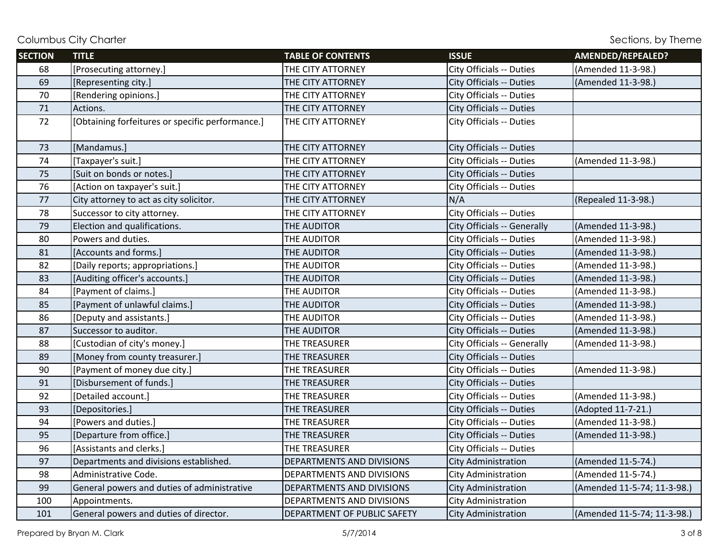| <b>SECTION</b> | <b>TITLE</b>                                     | <b>TABLE OF CONTENTS</b>    | <b>ISSUE</b>                | AMENDED/REPEALED?           |
|----------------|--------------------------------------------------|-----------------------------|-----------------------------|-----------------------------|
| 68             | [Prosecuting attorney.]                          | THE CITY ATTORNEY           | City Officials -- Duties    | (Amended 11-3-98.)          |
| 69             | [Representing city.]                             | THE CITY ATTORNEY           | City Officials -- Duties    | (Amended 11-3-98.)          |
| 70             | [Rendering opinions.]                            | THE CITY ATTORNEY           | City Officials -- Duties    |                             |
| 71             | Actions.                                         | THE CITY ATTORNEY           | City Officials -- Duties    |                             |
| 72             | [Obtaining forfeitures or specific performance.] | THE CITY ATTORNEY           | City Officials -- Duties    |                             |
| 73             | [Mandamus.]                                      | THE CITY ATTORNEY           | City Officials -- Duties    |                             |
| 74             | [Taxpayer's suit.]                               | THE CITY ATTORNEY           | City Officials -- Duties    | (Amended 11-3-98.)          |
| 75             | [Suit on bonds or notes.]                        | THE CITY ATTORNEY           | City Officials -- Duties    |                             |
| 76             | [Action on taxpayer's suit.]                     | THE CITY ATTORNEY           | City Officials -- Duties    |                             |
| 77             | City attorney to act as city solicitor.          | THE CITY ATTORNEY           | N/A                         | (Repealed 11-3-98.)         |
| 78             | Successor to city attorney.                      | THE CITY ATTORNEY           | City Officials -- Duties    |                             |
| 79             | Election and qualifications.                     | THE AUDITOR                 | City Officials -- Generally | (Amended 11-3-98.)          |
| 80             | Powers and duties.                               | THE AUDITOR                 | City Officials -- Duties    | (Amended 11-3-98.)          |
| 81             | [Accounts and forms.]                            | THE AUDITOR                 | City Officials -- Duties    | (Amended 11-3-98.)          |
| 82             | [Daily reports; appropriations.]                 | THE AUDITOR                 | City Officials -- Duties    | (Amended 11-3-98.)          |
| 83             | [Auditing officer's accounts.]                   | THE AUDITOR                 | City Officials -- Duties    | (Amended 11-3-98.)          |
| 84             | [Payment of claims.]                             | THE AUDITOR                 | City Officials -- Duties    | (Amended 11-3-98.)          |
| 85             | [Payment of unlawful claims.]                    | THE AUDITOR                 | City Officials -- Duties    | (Amended 11-3-98.)          |
| 86             | [Deputy and assistants.]                         | THE AUDITOR                 | City Officials -- Duties    | (Amended 11-3-98.)          |
| 87             | Successor to auditor.                            | THE AUDITOR                 | City Officials -- Duties    | (Amended 11-3-98.)          |
| 88             | [Custodian of city's money.]                     | THE TREASURER               | City Officials -- Generally | (Amended 11-3-98.)          |
| 89             | [Money from county treasurer.]                   | THE TREASURER               | City Officials -- Duties    |                             |
| 90             | [Payment of money due city.]                     | THE TREASURER               | City Officials -- Duties    | (Amended 11-3-98.)          |
| 91             | [Disbursement of funds.]                         | THE TREASURER               | City Officials -- Duties    |                             |
| 92             | [Detailed account.]                              | THE TREASURER               | City Officials -- Duties    | (Amended 11-3-98.)          |
| 93             | [Depositories.]                                  | THE TREASURER               | City Officials -- Duties    | (Adopted 11-7-21.)          |
| 94             | [Powers and duties.]                             | THE TREASURER               | City Officials -- Duties    | (Amended 11-3-98.)          |
| 95             | [Departure from office.]                         | THE TREASURER               | City Officials -- Duties    | (Amended 11-3-98.)          |
| 96             | [Assistants and clerks.]                         | THE TREASURER               | City Officials -- Duties    |                             |
| 97             | Departments and divisions established.           | DEPARTMENTS AND DIVISIONS   | <b>City Administration</b>  | (Amended 11-5-74.)          |
| 98             | Administrative Code.                             | DEPARTMENTS AND DIVISIONS   | <b>City Administration</b>  | (Amended 11-5-74.)          |
| 99             | General powers and duties of administrative      | DEPARTMENTS AND DIVISIONS   | City Administration         | (Amended 11-5-74; 11-3-98.) |
| 100            | Appointments.                                    | DEPARTMENTS AND DIVISIONS   | City Administration         |                             |
| 101            | General powers and duties of director.           | DEPARTMENT OF PUBLIC SAFETY | <b>City Administration</b>  | (Amended 11-5-74; 11-3-98.) |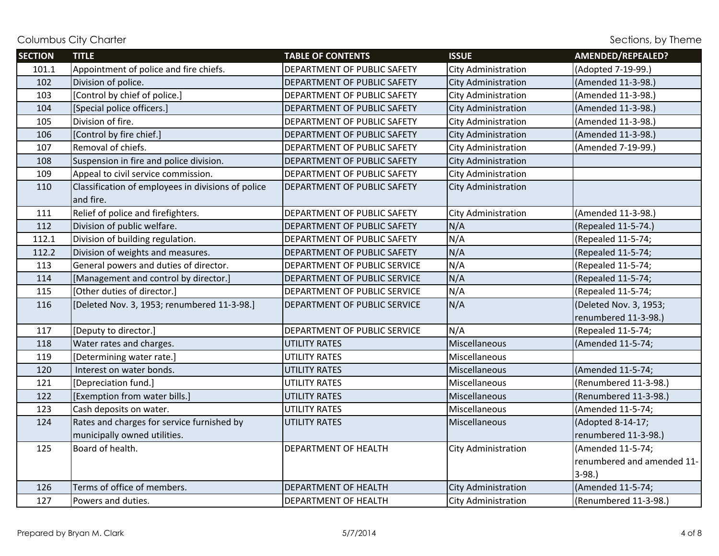| <b>SECTION</b> | <b>TITLE</b>                                       | <b>TABLE OF CONTENTS</b>     | <b>ISSUE</b>               | AMENDED/REPEALED?          |
|----------------|----------------------------------------------------|------------------------------|----------------------------|----------------------------|
| 101.1          | Appointment of police and fire chiefs.             | DEPARTMENT OF PUBLIC SAFETY  | <b>City Administration</b> | (Adopted 7-19-99.)         |
| 102            | Division of police.                                | DEPARTMENT OF PUBLIC SAFETY  | City Administration        | (Amended 11-3-98.)         |
| 103            | [Control by chief of police.]                      | DEPARTMENT OF PUBLIC SAFETY  | City Administration        | (Amended 11-3-98.)         |
| 104            | [Special police officers.]                         | DEPARTMENT OF PUBLIC SAFETY  | City Administration        | (Amended 11-3-98.)         |
| 105            | Division of fire.                                  | DEPARTMENT OF PUBLIC SAFETY  | <b>City Administration</b> | (Amended 11-3-98.)         |
| 106            | [Control by fire chief.]                           | DEPARTMENT OF PUBLIC SAFETY  | City Administration        | (Amended 11-3-98.)         |
| 107            | Removal of chiefs.                                 | DEPARTMENT OF PUBLIC SAFETY  | City Administration        | (Amended 7-19-99.)         |
| 108            | Suspension in fire and police division.            | DEPARTMENT OF PUBLIC SAFETY  | <b>City Administration</b> |                            |
| 109            | Appeal to civil service commission.                | DEPARTMENT OF PUBLIC SAFETY  | <b>City Administration</b> |                            |
| 110            | Classification of employees in divisions of police | DEPARTMENT OF PUBLIC SAFETY  | <b>City Administration</b> |                            |
|                | and fire.                                          |                              |                            |                            |
| 111            | Relief of police and firefighters.                 | DEPARTMENT OF PUBLIC SAFETY  | City Administration        | (Amended 11-3-98.)         |
| 112            | Division of public welfare.                        | DEPARTMENT OF PUBLIC SAFETY  | N/A                        | (Repealed 11-5-74.)        |
| 112.1          | Division of building regulation.                   | DEPARTMENT OF PUBLIC SAFETY  | N/A                        | (Repealed 11-5-74;         |
| 112.2          | Division of weights and measures.                  | DEPARTMENT OF PUBLIC SAFETY  | N/A                        | (Repealed 11-5-74;         |
| 113            | General powers and duties of director.             | DEPARTMENT OF PUBLIC SERVICE | N/A                        | (Repealed 11-5-74;         |
| 114            | [Management and control by director.]              | DEPARTMENT OF PUBLIC SERVICE | N/A                        | (Repealed 11-5-74;         |
| 115            | [Other duties of director.]                        | DEPARTMENT OF PUBLIC SERVICE | N/A                        | (Repealed 11-5-74;         |
| 116            | [Deleted Nov. 3, 1953; renumbered 11-3-98.]        | DEPARTMENT OF PUBLIC SERVICE | N/A                        | (Deleted Nov. 3, 1953;     |
|                |                                                    |                              |                            | renumbered 11-3-98.)       |
| 117            | [Deputy to director.]                              | DEPARTMENT OF PUBLIC SERVICE | N/A                        | (Repealed 11-5-74;         |
| 118            | Water rates and charges.                           | <b>UTILITY RATES</b>         | Miscellaneous              | (Amended 11-5-74;          |
| 119            | [Determining water rate.]                          | <b>UTILITY RATES</b>         | Miscellaneous              |                            |
| 120            | Interest on water bonds.                           | <b>UTILITY RATES</b>         | Miscellaneous              | (Amended 11-5-74;          |
| 121            | [Depreciation fund.]                               | <b>UTILITY RATES</b>         | Miscellaneous              | (Renumbered 11-3-98.)      |
| 122            | [Exemption from water bills.]                      | <b>UTILITY RATES</b>         | Miscellaneous              | (Renumbered 11-3-98.)      |
| 123            | Cash deposits on water.                            | <b>UTILITY RATES</b>         | Miscellaneous              | (Amended 11-5-74;          |
| 124            | Rates and charges for service furnished by         | <b>UTILITY RATES</b>         | Miscellaneous              | (Adopted 8-14-17;          |
|                | municipally owned utilities.                       |                              |                            | renumbered 11-3-98.)       |
| 125            | Board of health.                                   | DEPARTMENT OF HEALTH         | City Administration        | (Amended 11-5-74;          |
|                |                                                    |                              |                            | renumbered and amended 11- |
|                |                                                    |                              |                            | $3-98.$                    |
| 126            | Terms of office of members.                        | DEPARTMENT OF HEALTH         | City Administration        | (Amended 11-5-74;          |
| 127            | Powers and duties.                                 | DEPARTMENT OF HEALTH         | <b>City Administration</b> | (Renumbered 11-3-98.)      |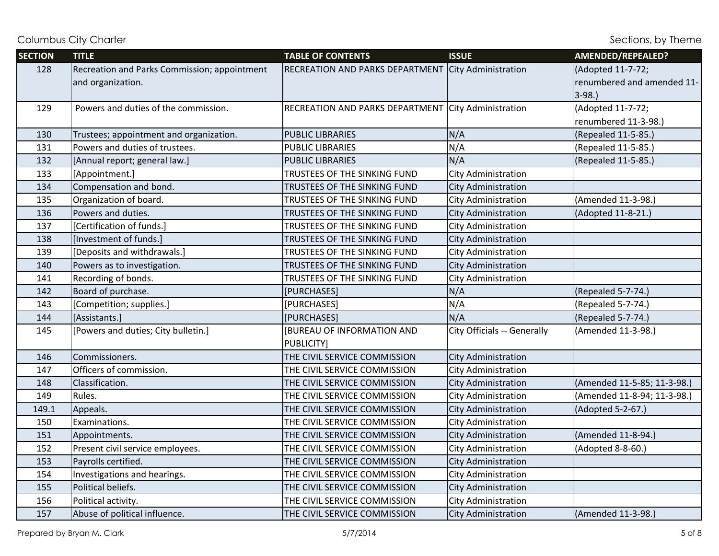| <b>SECTION</b> | <b>TITLE</b>                                 | <b>TABLE OF CONTENTS</b>          | <b>ISSUE</b>                | AMENDED/REPEALED?           |
|----------------|----------------------------------------------|-----------------------------------|-----------------------------|-----------------------------|
| 128            | Recreation and Parks Commission; appointment | RECREATION AND PARKS DEPARTMENT   | City Administration         | (Adopted 11-7-72;           |
|                | and organization.                            |                                   |                             | renumbered and amended 11-  |
|                |                                              |                                   |                             | $3-98.$                     |
| 129            | Powers and duties of the commission.         | RECREATION AND PARKS DEPARTMENT   | City Administration         | (Adopted 11-7-72;           |
|                |                                              |                                   |                             | renumbered 11-3-98.)        |
| 130            | Trustees; appointment and organization.      | <b>PUBLIC LIBRARIES</b>           | N/A                         | (Repealed 11-5-85.)         |
| 131            | Powers and duties of trustees.               | <b>PUBLIC LIBRARIES</b>           | N/A                         | (Repealed 11-5-85.)         |
| 132            | [Annual report; general law.]                | <b>PUBLIC LIBRARIES</b>           | N/A                         | (Repealed 11-5-85.)         |
| 133            | [Appointment.]                               | TRUSTEES OF THE SINKING FUND      | City Administration         |                             |
| 134            | Compensation and bond.                       | TRUSTEES OF THE SINKING FUND      | City Administration         |                             |
| 135            | Organization of board.                       | TRUSTEES OF THE SINKING FUND      | City Administration         | (Amended 11-3-98.)          |
| 136            | Powers and duties.                           | TRUSTEES OF THE SINKING FUND      | City Administration         | (Adopted 11-8-21.)          |
| 137            | [Certification of funds.]                    | TRUSTEES OF THE SINKING FUND      | City Administration         |                             |
| 138            | [Investment of funds.]                       | TRUSTEES OF THE SINKING FUND      | City Administration         |                             |
| 139            | [Deposits and withdrawals.]                  | TRUSTEES OF THE SINKING FUND      | City Administration         |                             |
| 140            | Powers as to investigation.                  | TRUSTEES OF THE SINKING FUND      | <b>City Administration</b>  |                             |
| 141            | Recording of bonds.                          | TRUSTEES OF THE SINKING FUND      | <b>City Administration</b>  |                             |
| 142            | Board of purchase.                           | [PURCHASES]                       | N/A                         | (Repealed 5-7-74.)          |
| 143            | [Competition; supplies.]                     | [PURCHASES]                       | N/A                         | (Repealed 5-7-74.)          |
| 144            | [Assistants.]                                | [PURCHASES]                       | N/A                         | (Repealed 5-7-74.)          |
| 145            | [Powers and duties; City bulletin.]          | <b>[BUREAU OF INFORMATION AND</b> | City Officials -- Generally | (Amended 11-3-98.)          |
|                |                                              | <b>PUBLICITY</b>                  |                             |                             |
| 146            | Commissioners.                               | THE CIVIL SERVICE COMMISSION      | City Administration         |                             |
| 147            | Officers of commission.                      | THE CIVIL SERVICE COMMISSION      | City Administration         |                             |
| 148            | Classification.                              | THE CIVIL SERVICE COMMISSION      | <b>City Administration</b>  | (Amended 11-5-85; 11-3-98.) |
| 149            | Rules.                                       | THE CIVIL SERVICE COMMISSION      | <b>City Administration</b>  | (Amended 11-8-94; 11-3-98.) |
| 149.1          | Appeals.                                     | THE CIVIL SERVICE COMMISSION      | City Administration         | (Adopted 5-2-67.)           |
| 150            | Examinations.                                | THE CIVIL SERVICE COMMISSION      | <b>City Administration</b>  |                             |
| 151            | Appointments.                                | THE CIVIL SERVICE COMMISSION      | City Administration         | (Amended 11-8-94.)          |
| 152            | Present civil service employees.             | THE CIVIL SERVICE COMMISSION      | <b>City Administration</b>  | (Adopted 8-8-60.)           |
| 153            | Payrolls certified.                          | THE CIVIL SERVICE COMMISSION      | <b>City Administration</b>  |                             |
| 154            | Investigations and hearings.                 | THE CIVIL SERVICE COMMISSION      | City Administration         |                             |
| 155            | Political beliefs.                           | THE CIVIL SERVICE COMMISSION      | <b>City Administration</b>  |                             |
| 156            | Political activity.                          | THE CIVIL SERVICE COMMISSION      | City Administration         |                             |
| 157            | Abuse of political influence.                | THE CIVIL SERVICE COMMISSION      | <b>City Administration</b>  | (Amended 11-3-98.)          |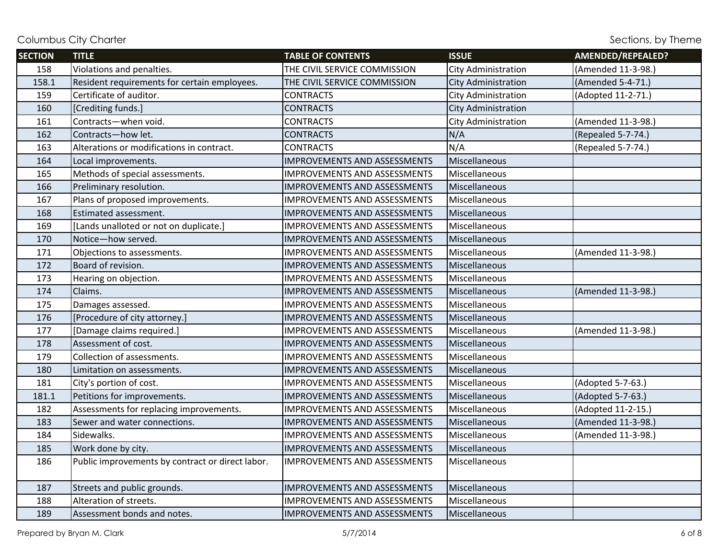| <b>SECTION</b> | <b>TITLE</b>                                     | <b>TABLE OF CONTENTS</b>            | <b>ISSUE</b>               | AMENDED/REPEALED?  |
|----------------|--------------------------------------------------|-------------------------------------|----------------------------|--------------------|
| 158            | Violations and penalties.                        | THE CIVIL SERVICE COMMISSION        | <b>City Administration</b> | (Amended 11-3-98.) |
| 158.1          | Resident requirements for certain employees.     | THE CIVIL SERVICE COMMISSION        | <b>City Administration</b> | (Amended 5-4-71.)  |
| 159            | Certificate of auditor.                          | <b>CONTRACTS</b>                    | City Administration        | (Adopted 11-2-71.) |
| 160            | [Crediting funds.]                               | <b>CONTRACTS</b>                    | <b>City Administration</b> |                    |
| 161            | Contracts-when void.                             | <b>CONTRACTS</b>                    | <b>City Administration</b> | (Amended 11-3-98.) |
| 162            | Contracts-how let.                               | <b>CONTRACTS</b>                    | N/A                        | (Repealed 5-7-74.) |
| 163            | Alterations or modifications in contract.        | <b>CONTRACTS</b>                    | N/A                        | (Repealed 5-7-74.) |
| 164            | Local improvements.                              | <b>IMPROVEMENTS AND ASSESSMENTS</b> | Miscellaneous              |                    |
| 165            | Methods of special assessments.                  | <b>IMPROVEMENTS AND ASSESSMENTS</b> | Miscellaneous              |                    |
| 166            | Preliminary resolution.                          | <b>IMPROVEMENTS AND ASSESSMENTS</b> | Miscellaneous              |                    |
| 167            | Plans of proposed improvements.                  | <b>IMPROVEMENTS AND ASSESSMENTS</b> | Miscellaneous              |                    |
| 168            | Estimated assessment.                            | <b>IMPROVEMENTS AND ASSESSMENTS</b> | Miscellaneous              |                    |
| 169            | [Lands unalloted or not on duplicate.]           | <b>IMPROVEMENTS AND ASSESSMENTS</b> | Miscellaneous              |                    |
| 170            | Notice-how served.                               | <b>IMPROVEMENTS AND ASSESSMENTS</b> | Miscellaneous              |                    |
| 171            | Objections to assessments.                       | <b>IMPROVEMENTS AND ASSESSMENTS</b> | Miscellaneous              | (Amended 11-3-98.) |
| 172            | Board of revision.                               | <b>IMPROVEMENTS AND ASSESSMENTS</b> | Miscellaneous              |                    |
| 173            | Hearing on objection.                            | <b>IMPROVEMENTS AND ASSESSMENTS</b> | Miscellaneous              |                    |
| 174            | Claims.                                          | <b>IMPROVEMENTS AND ASSESSMENTS</b> | Miscellaneous              | (Amended 11-3-98.) |
| 175            | Damages assessed.                                | <b>IMPROVEMENTS AND ASSESSMENTS</b> | Miscellaneous              |                    |
| 176            | [Procedure of city attorney.]                    | <b>IMPROVEMENTS AND ASSESSMENTS</b> | Miscellaneous              |                    |
| 177            | [Damage claims required.]                        | <b>IMPROVEMENTS AND ASSESSMENTS</b> | Miscellaneous              | (Amended 11-3-98.) |
| 178            | Assessment of cost.                              | <b>IMPROVEMENTS AND ASSESSMENTS</b> | Miscellaneous              |                    |
| 179            | Collection of assessments.                       | <b>IMPROVEMENTS AND ASSESSMENTS</b> | Miscellaneous              |                    |
| 180            | Limitation on assessments.                       | <b>IMPROVEMENTS AND ASSESSMENTS</b> | Miscellaneous              |                    |
| 181            | City's portion of cost.                          | <b>IMPROVEMENTS AND ASSESSMENTS</b> | Miscellaneous              | (Adopted 5-7-63.)  |
| 181.1          | Petitions for improvements.                      | <b>IMPROVEMENTS AND ASSESSMENTS</b> | Miscellaneous              | (Adopted 5-7-63.)  |
| 182            | Assessments for replacing improvements.          | <b>IMPROVEMENTS AND ASSESSMENTS</b> | Miscellaneous              | (Adopted 11-2-15.) |
| 183            | Sewer and water connections.                     | <b>IMPROVEMENTS AND ASSESSMENTS</b> | Miscellaneous              | (Amended 11-3-98.) |
| 184            | Sidewalks.                                       | <b>IMPROVEMENTS AND ASSESSMENTS</b> | Miscellaneous              | (Amended 11-3-98.) |
| 185            | Work done by city.                               | <b>IMPROVEMENTS AND ASSESSMENTS</b> | Miscellaneous              |                    |
| 186            | Public improvements by contract or direct labor. | <b>IMPROVEMENTS AND ASSESSMENTS</b> | Miscellaneous              |                    |
| 187            | Streets and public grounds.                      | <b>IMPROVEMENTS AND ASSESSMENTS</b> | Miscellaneous              |                    |
| 188            | Alteration of streets.                           | <b>IMPROVEMENTS AND ASSESSMENTS</b> | Miscellaneous              |                    |
| 189            | Assessment bonds and notes.                      | <b>IMPROVEMENTS AND ASSESSMENTS</b> | Miscellaneous              |                    |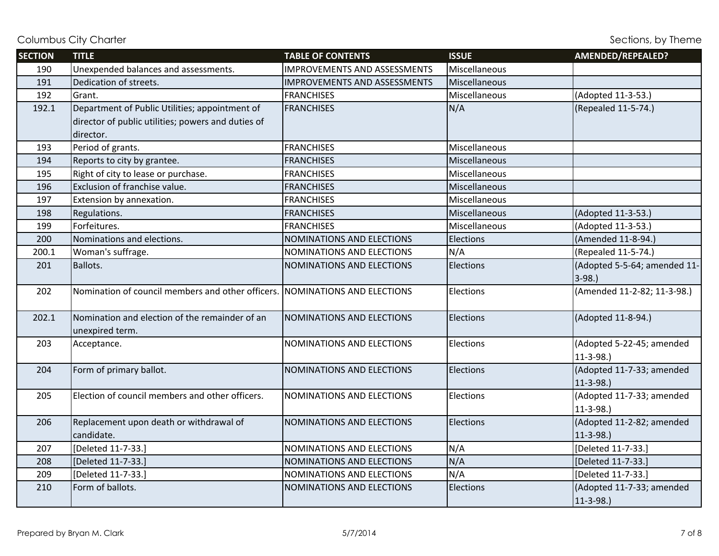| <b>SECTION</b> | <b>TITLE</b>                                                                | <b>TABLE OF CONTENTS</b>            | <b>ISSUE</b>     | AMENDED/REPEALED?            |
|----------------|-----------------------------------------------------------------------------|-------------------------------------|------------------|------------------------------|
| 190            | Unexpended balances and assessments.                                        | <b>IMPROVEMENTS AND ASSESSMENTS</b> | Miscellaneous    |                              |
| 191            | Dedication of streets.                                                      | <b>IMPROVEMENTS AND ASSESSMENTS</b> | Miscellaneous    |                              |
| 192            | Grant.                                                                      | <b>FRANCHISES</b>                   | Miscellaneous    | (Adopted 11-3-53.)           |
| 192.1          | Department of Public Utilities; appointment of                              | <b>FRANCHISES</b>                   | N/A              | (Repealed 11-5-74.)          |
|                | director of public utilities; powers and duties of                          |                                     |                  |                              |
|                | director.                                                                   |                                     |                  |                              |
| 193            | Period of grants.                                                           | <b>FRANCHISES</b>                   | Miscellaneous    |                              |
| 194            | Reports to city by grantee.                                                 | <b>FRANCHISES</b>                   | Miscellaneous    |                              |
| 195            | Right of city to lease or purchase.                                         | <b>FRANCHISES</b>                   | Miscellaneous    |                              |
| 196            | Exclusion of franchise value.                                               | <b>FRANCHISES</b>                   | Miscellaneous    |                              |
| 197            | Extension by annexation.                                                    | <b>FRANCHISES</b>                   | Miscellaneous    |                              |
| 198            | Regulations.                                                                | <b>FRANCHISES</b>                   | Miscellaneous    | (Adopted 11-3-53.)           |
| 199            | Forfeitures.                                                                | <b>FRANCHISES</b>                   | Miscellaneous    | (Adopted 11-3-53.)           |
| 200            | Nominations and elections.                                                  | <b>NOMINATIONS AND ELECTIONS</b>    | Elections        | (Amended 11-8-94.)           |
| 200.1          | Woman's suffrage.                                                           | NOMINATIONS AND ELECTIONS           | N/A              | (Repealed 11-5-74.)          |
| 201            | Ballots.                                                                    | NOMINATIONS AND ELECTIONS           | <b>Elections</b> | (Adopted 5-5-64; amended 11- |
|                |                                                                             |                                     |                  | $3-98.$                      |
| 202            | Nomination of council members and other officers. NOMINATIONS AND ELECTIONS |                                     | Elections        | (Amended 11-2-82; 11-3-98.)  |
|                |                                                                             |                                     |                  |                              |
| 202.1          | Nomination and election of the remainder of an                              | NOMINATIONS AND ELECTIONS           | Elections        | (Adopted 11-8-94.)           |
|                | unexpired term.                                                             |                                     |                  |                              |
| 203            | Acceptance.                                                                 | NOMINATIONS AND ELECTIONS           | Elections        | (Adopted 5-22-45; amended    |
|                |                                                                             |                                     |                  | $11-3-98.$                   |
| 204            | Form of primary ballot.                                                     | NOMINATIONS AND ELECTIONS           | <b>Elections</b> | (Adopted 11-7-33; amended    |
|                |                                                                             |                                     |                  | $11-3-98.$                   |
| 205            | Election of council members and other officers.                             | NOMINATIONS AND ELECTIONS           | Elections        | (Adopted 11-7-33; amended    |
|                |                                                                             |                                     |                  | $11-3-98.$                   |
| 206            | Replacement upon death or withdrawal of                                     | NOMINATIONS AND ELECTIONS           | Elections        | (Adopted 11-2-82; amended    |
|                | candidate.                                                                  |                                     |                  | $11-3-98.$                   |
| 207            | [Deleted 11-7-33.]                                                          | NOMINATIONS AND ELECTIONS           | N/A              | [Deleted 11-7-33.]           |
| 208            | [Deleted 11-7-33.]                                                          | NOMINATIONS AND ELECTIONS           | N/A              | [Deleted 11-7-33.]           |
| 209            | [Deleted 11-7-33.]                                                          | NOMINATIONS AND ELECTIONS           | N/A              | [Deleted 11-7-33.]           |
| 210            | Form of ballots.                                                            | NOMINATIONS AND ELECTIONS           | Elections        | (Adopted 11-7-33; amended    |
|                |                                                                             |                                     |                  | $11-3-98.$                   |